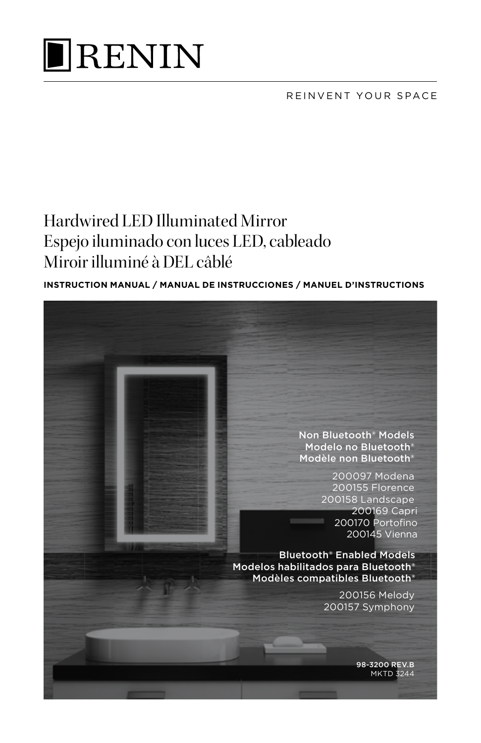

REINVENT YOUR SPACE

# Hardwired LED Illuminated Mirror Espejo iluminado con luces LED, cableado Miroir illuminé à DEL câblé

### **INSTRUCTION MANUAL / MANUAL DE INSTRUCCIONES / MANUEL D'INSTRUCTIONS**

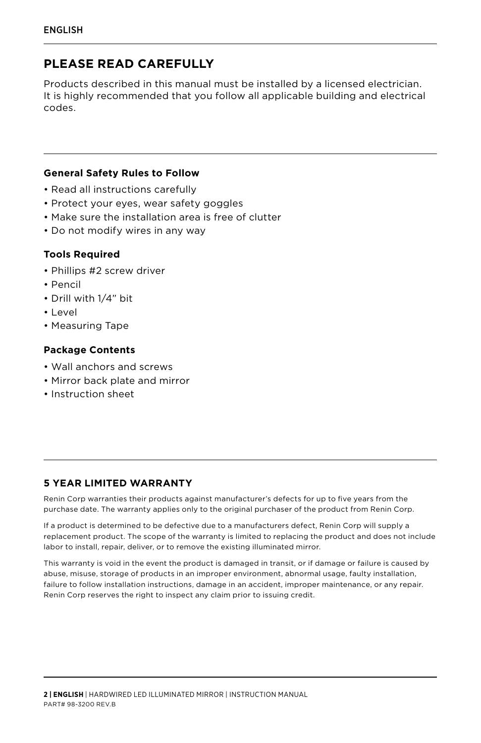# **PLEASE READ CAREFULLY**

Products described in this manual must be installed by a licensed electrician. It is highly recommended that you follow all applicable building and electrical codes.

#### **General Safety Rules to Follow**

- Read all instructions carefully
- Protect your eyes, wear safety goggles
- Make sure the installation area is free of clutter
- Do not modify wires in any way

#### **Tools Required**

- Phillips #2 screw driver
- Pencil
- Drill with 1/4" bit
- Level
- Measuring Tape

#### **Package Contents**

- Wall anchors and screws
- Mirror back plate and mirror
- Instruction sheet

#### **5 YEAR LIMITED WARRANTY**

Renin Corp warranties their products against manufacturer's defects for up to five years from the purchase date. The warranty applies only to the original purchaser of the product from Renin Corp.

If a product is determined to be defective due to a manufacturers defect, Renin Corp will supply a replacement product. The scope of the warranty is limited to replacing the product and does not include labor to install, repair, deliver, or to remove the existing illuminated mirror.

This warranty is void in the event the product is damaged in transit, or if damage or failure is caused by abuse, misuse, storage of products in an improper environment, abnormal usage, faulty installation, failure to follow installation instructions, damage in an accident, improper maintenance, or any repair. Renin Corp reserves the right to inspect any claim prior to issuing credit.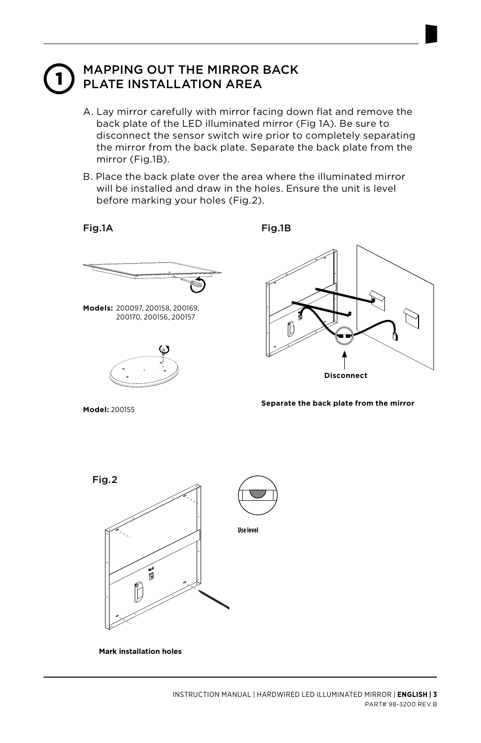# MAPPING OUT THE MIRROR BACK<br>PLATE INSTALLATION AREA

- A. Lay mirror carefully with mirror facing down flat and remove the back plate of the LED illuminated mirror (Fig 1A). Be sure to disconnect the sensor switch wire prior to completely separating the mirror from the back plate. Separate the back plate from the mirror (Fig.1B).
- B. Place the back plate over the area where the illuminated mirror will be installed and draw in the holes. Ensure the unit is level before marking your holes (Fig.2).

Fig.1A

Fig.1B



**Models:** 200097, 200158, 200169, 200170, 200156, 200157



**Disconnect**

**Model:** 200155

**Separate the back plate from the mirror**



**Mark installation holes**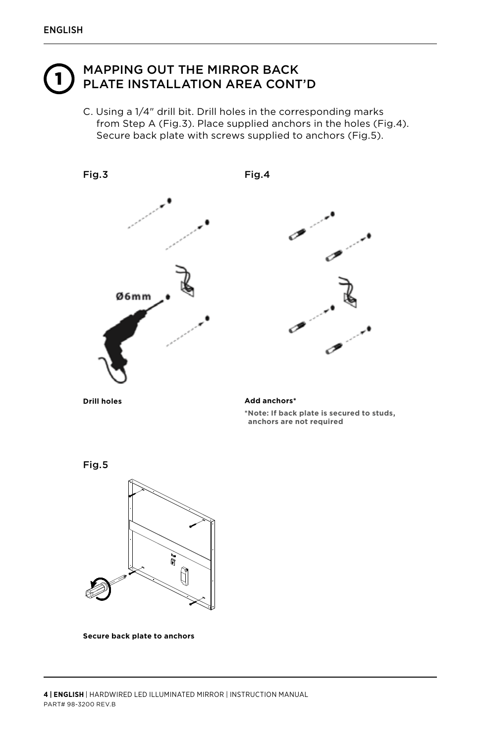# MAPPING OUT THE MIRROR BACK<br>PLATE INSTALLATION AREA CONT'D

C. Using a 1/4" drill bit. Drill holes in the corresponding marks from Step A (Fig.3). Place supplied anchors in the holes (Fig.4). Secure back plate with screws supplied to anchors (Fig.5).



**Drill holes Add anchors\***

**\*Note: If back plate is secured to studs, anchors are not required**

Fig.5



**Secure back plate to anchors**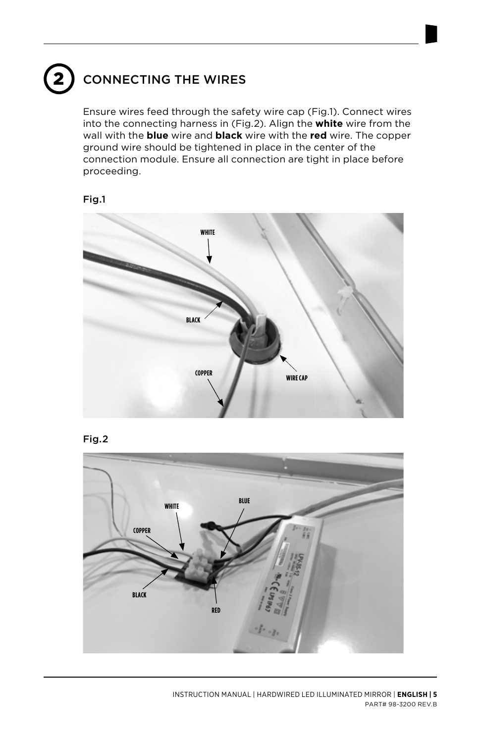# 2 CONNECTING THE WIRES

Ensure wires feed through the safety wire cap (Fig.1). Connect wires into the connecting harness in (Fig.2). Align the **white** wire from the wall with the **blue** wire and **black** wire with the **red** wire. The copper ground wire should be tightened in place in the center of the connection module. Ensure all connection are tight in place before proceeding.







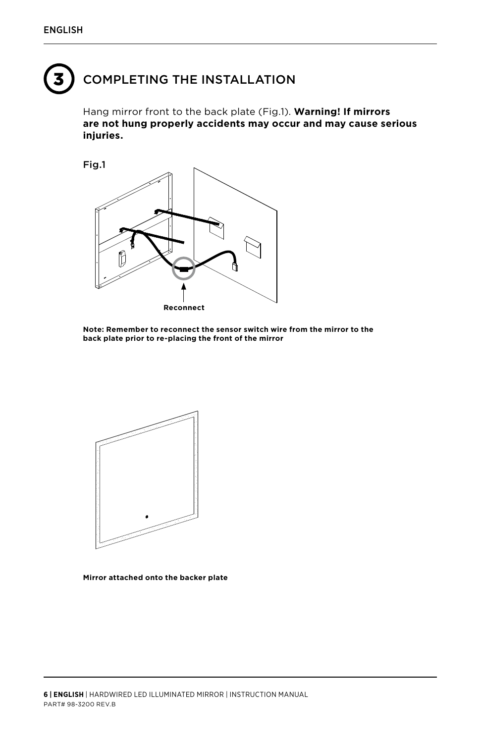# COMPLETING THE INSTALLATION

Hang mirror front to the back plate (Fig.1). **Warning! If mirrors are not hung properly accidents may occur and may cause serious injuries.**



**Note: Remember to reconnect the sensor switch wire from the mirror to the back plate prior to re-placing the front of the mirror**



**Mirror attached onto the backer plate**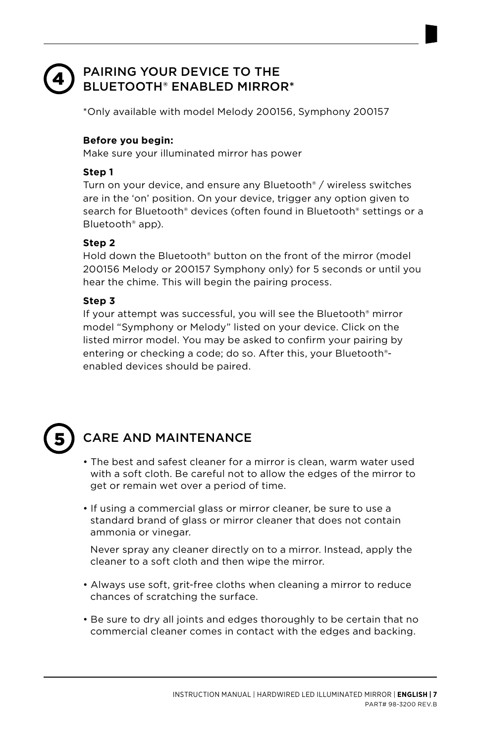#### PAIRING YOUR DEVICE TO THE BLUETOOTH® ENABLED MIRROR\* 4

\*Only available with model Melody 200156, Symphony 200157

### **Before you begin:**

Make sure your illuminated mirror has power

### **Step 1**

Turn on your device, and ensure any Bluetooth® / wireless switches are in the 'on' position. On your device, trigger any option given to search for Bluetooth® devices (often found in Bluetooth® settings or a Bluetooth® app).

### **Step 2**

Hold down the Bluetooth® button on the front of the mirror (model 200156 Melody or 200157 Symphony only) for 5 seconds or until you hear the chime. This will begin the pairing process.

### **Step 3**

If your attempt was successful, you will see the Bluetooth® mirror model "Symphony or Melody" listed on your device. Click on the listed mirror model. You may be asked to confirm your pairing by entering or checking a code; do so. After this, your Bluetooth® enabled devices should be paired.

# 5

# CARE AND MAINTENANCE

- The best and safest cleaner for a mirror is clean, warm water used with a soft cloth. Be careful not to allow the edges of the mirror to get or remain wet over a period of time.
- If using a commercial glass or mirror cleaner, be sure to use a standard brand of glass or mirror cleaner that does not contain ammonia or vinegar.

Never spray any cleaner directly on to a mirror. Instead, apply the cleaner to a soft cloth and then wipe the mirror.

- Always use soft, grit-free cloths when cleaning a mirror to reduce chances of scratching the surface.
- Be sure to dry all joints and edges thoroughly to be certain that no commercial cleaner comes in contact with the edges and backing.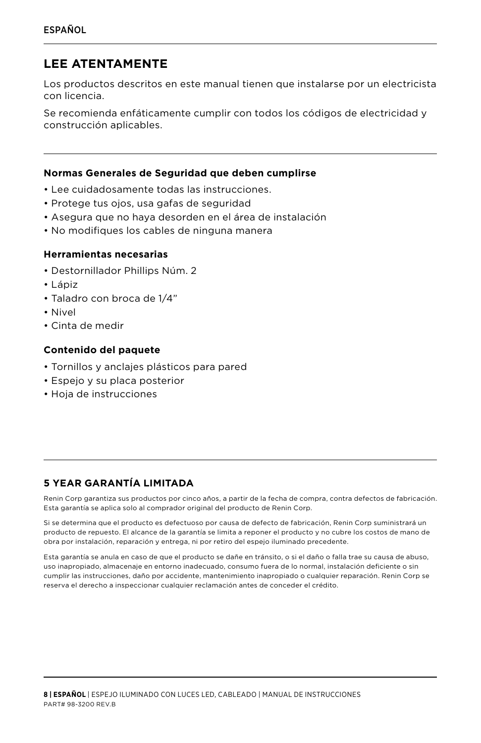## **LEE ATENTAMENTE**

Los productos descritos en este manual tienen que instalarse por un electricista con licencia.

Se recomienda enfáticamente cumplir con todos los códigos de electricidad y construcción aplicables.

#### **Normas Generales de Seguridad que deben cumplirse**

- Lee cuidadosamente todas las instrucciones.
- Protege tus ojos, usa gafas de seguridad
- Asegura que no haya desorden en el área de instalación
- No modifiques los cables de ninguna manera

#### **Herramientas necesarias**

- Destornillador Phillips Núm. 2
- Lápiz
- Taladro con broca de 1/4"
- Nivel
- Cinta de medir

#### **Contenido del paquete**

- Tornillos y anclajes plásticos para pared
- Espejo y su placa posterior
- Hoja de instrucciones

## **5 YEAR GARANTÍA LIMITADA**

Renin Corp garantiza sus productos por cinco años, a partir de la fecha de compra, contra defectos de fabricación. Esta garantía se aplica solo al comprador original del producto de Renin Corp.

Si se determina que el producto es defectuoso por causa de defecto de fabricación, Renin Corp suministrará un producto de repuesto. El alcance de la garantía se limita a reponer el producto y no cubre los costos de mano de obra por instalación, reparación y entrega, ni por retiro del espejo iluminado precedente.

Esta garantía se anula en caso de que el producto se dañe en tránsito, o si el daño o falla trae su causa de abuso, uso inapropiado, almacenaje en entorno inadecuado, consumo fuera de lo normal, instalación deficiente o sin cumplir las instrucciones, daño por accidente, mantenimiento inapropiado o cualquier reparación. Renin Corp se reserva el derecho a inspeccionar cualquier reclamación antes de conceder el crédito.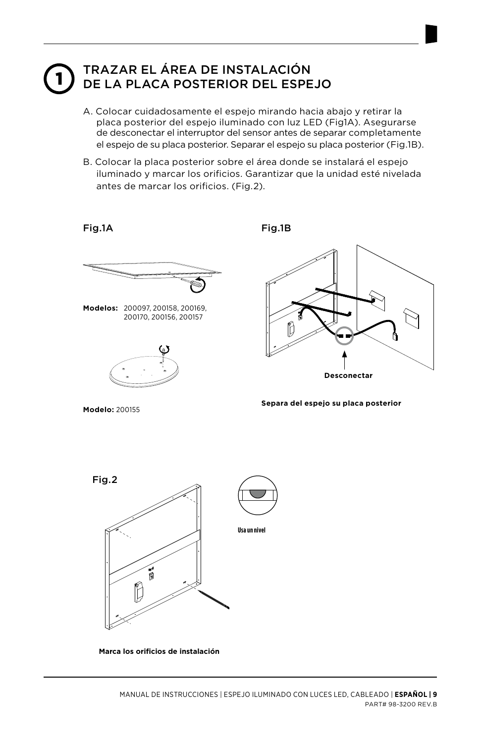# TRAZAR EL ÁREA DE INSTALACIÓN<br>DE LA PLACA POSTERIOR DEL ESPEJO

- A. Colocar cuidadosamente el espejo mirando hacia abajo y retirar la placa posterior del espejo iluminado con luz LED (Fig1A). Asegurarse de desconectar el interruptor del sensor antes de separar completamente el espejo de su placa posterior. Separar el espejo su placa posterior (Fig.1B).
- B. Colocar la placa posterior sobre el área donde se instalará el espejo iluminado y marcar los orificios. Garantizar que la unidad esté nivelada antes de marcar los orificios. (Fig.2).

Fig.1A

Fig.1B



**Modelos:** 200097, 200158, 200169, 200170, 200156, 200157



**Desconectar**

**Modelo:** 200155

**Separa del espejo su placa posterior**



**Marca los orificios de instalación**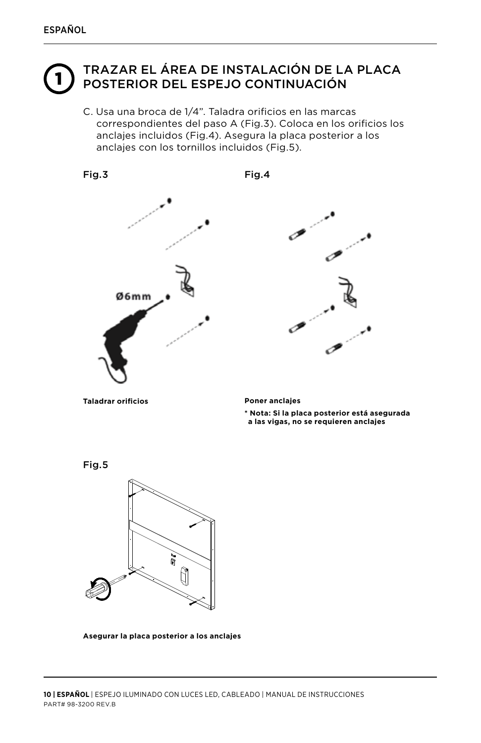# TRAZAR EL ÁREA DE INSTALACIÓN DE LA PLACA<br>POSTERIOR DEL ESPEJO CONTINUACIÓN

C. Usa una broca de 1/4". Taladra orificios en las marcas correspondientes del paso A (Fig.3). Coloca en los orificios los anclajes incluidos (Fig.4). Asegura la placa posterior a los anclajes con los tornillos incluidos (Fig.5).



**Taladrar orificios Poner anclajes**

**\* Nota: Si la placa posterior está asegurada a las vigas, no se requieren anclajes**

Fig.5



**Asegurar la placa posterior a los anclajes**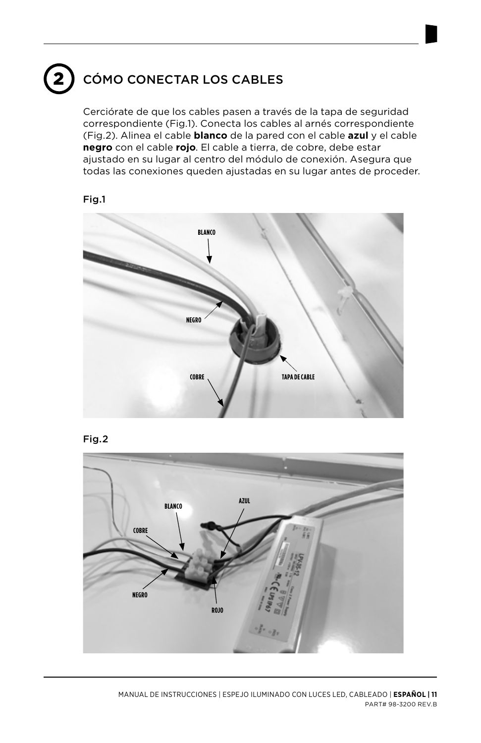# CÓMO CONECTAR LOS CABLES

Cerciórate de que los cables pasen a través de la tapa de seguridad correspondiente (Fig.1). Conecta los cables al arnés correspondiente (Fig.2). Alinea el cable **blanco** de la pared con el cable **azul** y el cable **negro** con el cable **rojo**. El cable a tierra, de cobre, debe estar ajustado en su lugar al centro del módulo de conexión. Asegura que todas las conexiones queden ajustadas en su lugar antes de proceder.







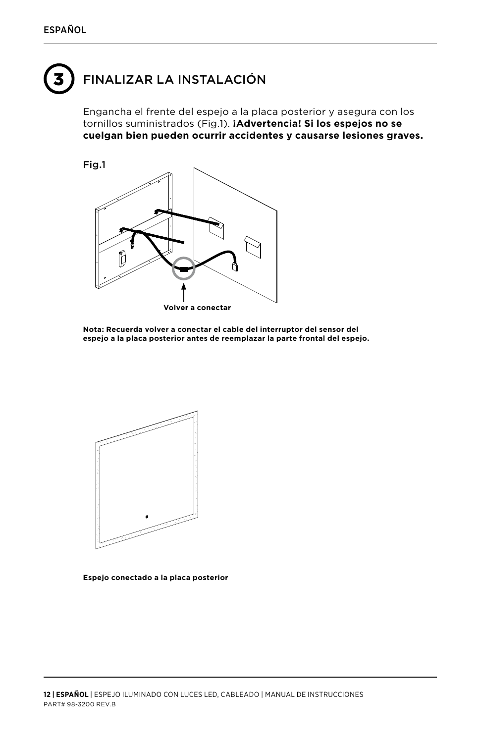# 3 FINALIZAR LA INSTALACIÓN

Engancha el frente del espejo a la placa posterior y asegura con los tornillos suministrados (Fig.1). **¡Advertencia! Si los espejos no se cuelgan bien pueden ocurrir accidentes y causarse lesiones graves.**



**Nota: Recuerda volver a conectar el cable del interruptor del sensor del espejo a la placa posterior antes de reemplazar la parte frontal del espejo.**



**Espejo conectado a la placa posterior**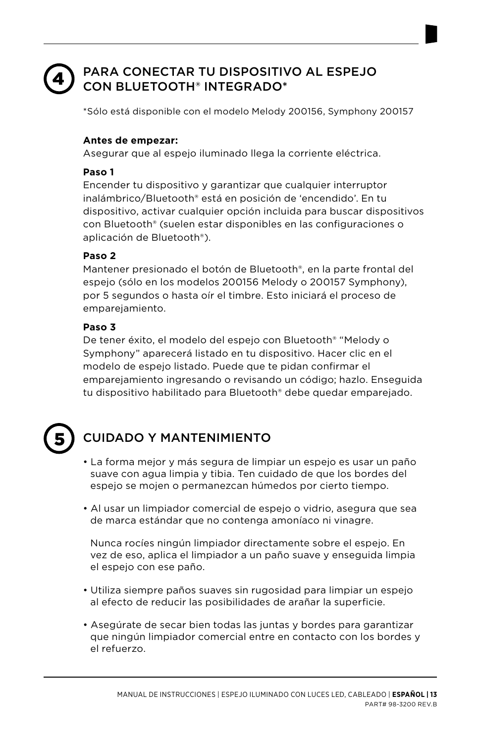#### PARA CONECTAR TU DISPOSITIVO AL ESPEJO CON BLUETOOTH® INTEGRADO\* 4

\*Sólo está disponible con el modelo Melody 200156, Symphony 200157

### **Antes de empezar:**

Asegurar que al espejo iluminado llega la corriente eléctrica.

### **Paso 1**

Encender tu dispositivo y garantizar que cualquier interruptor inalámbrico/Bluetooth® está en posición de 'encendido'. En tu dispositivo, activar cualquier opción incluida para buscar dispositivos con Bluetooth® (suelen estar disponibles en las configuraciones o aplicación de Bluetooth®).

### **Paso 2**

Mantener presionado el botón de Bluetooth®, en la parte frontal del espejo (sólo en los modelos 200156 Melody o 200157 Symphony), por 5 segundos o hasta oír el timbre. Esto iniciará el proceso de emparejamiento.

### **Paso 3**

De tener éxito, el modelo del espejo con Bluetooth® "Melody o Symphony" aparecerá listado en tu dispositivo. Hacer clic en el modelo de espejo listado. Puede que te pidan confirmar el emparejamiento ingresando o revisando un código; hazlo. Enseguida tu dispositivo habilitado para Bluetooth® debe quedar emparejado.

# 5

# CUIDADO Y MANTENIMIENTO

- La forma mejor y más segura de limpiar un espejo es usar un paño suave con agua limpia y tibia. Ten cuidado de que los bordes del espejo se mojen o permanezcan húmedos por cierto tiempo.
- Al usar un limpiador comercial de espejo o vidrio, asegura que sea de marca estándar que no contenga amoníaco ni vinagre.

Nunca rocíes ningún limpiador directamente sobre el espejo. En vez de eso, aplica el limpiador a un paño suave y enseguida limpia el espejo con ese paño.

- Utiliza siempre paños suaves sin rugosidad para limpiar un espejo al efecto de reducir las posibilidades de arañar la superficie.
- Asegúrate de secar bien todas las juntas y bordes para garantizar que ningún limpiador comercial entre en contacto con los bordes y el refuerzo.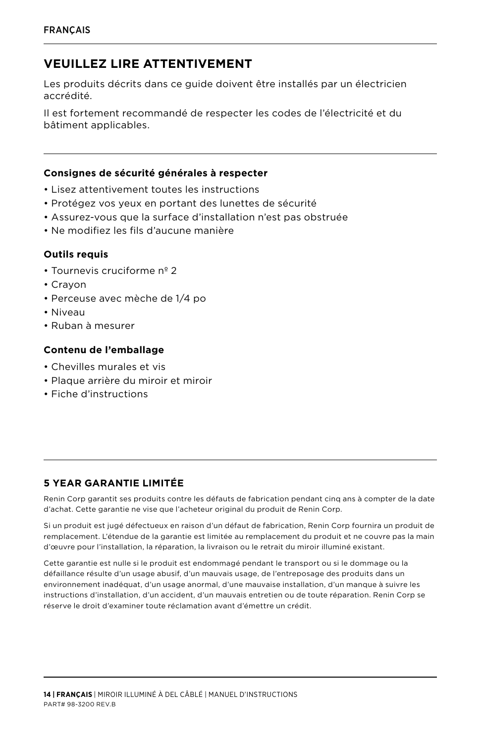## **VEUILLEZ LIRE ATTENTIVEMENT**

Les produits décrits dans ce guide doivent être installés par un électricien accrédité.

Il est fortement recommandé de respecter les codes de l'électricité et du bâtiment applicables.

#### **Consignes de sécurité générales à respecter**

- Lisez attentivement toutes les instructions
- Protégez vos yeux en portant des lunettes de sécurité
- Assurez-vous que la surface d'installation n'est pas obstruée
- Ne modifiez les fils d'aucune manière

#### **Outils requis**

- Tournevis cruciforme nº 2
- Crayon
- Perceuse avec mèche de 1/4 po
- Niveau
- Ruban à mesurer

#### **Contenu de l'emballage**

- Chevilles murales et vis
- Plaque arrière du miroir et miroir
- Fiche d'instructions

### **5 YEAR GARANTIE LIMITÉE**

Renin Corp garantit ses produits contre les défauts de fabrication pendant cinq ans à compter de la date d'achat. Cette garantie ne vise que l'acheteur original du produit de Renin Corp.

Si un produit est jugé défectueux en raison d'un défaut de fabrication, Renin Corp fournira un produit de remplacement. L'étendue de la garantie est limitée au remplacement du produit et ne couvre pas la main d'œuvre pour l'installation, la réparation, la livraison ou le retrait du miroir illuminé existant.

Cette garantie est nulle si le produit est endommagé pendant le transport ou si le dommage ou la défaillance résulte d'un usage abusif, d'un mauvais usage, de l'entreposage des produits dans un environnement inadéquat, d'un usage anormal, d'une mauvaise installation, d'un manque à suivre les instructions d'installation, d'un accident, d'un mauvais entretien ou de toute réparation. Renin Corp se réserve le droit d'examiner toute réclamation avant d'émettre un crédit.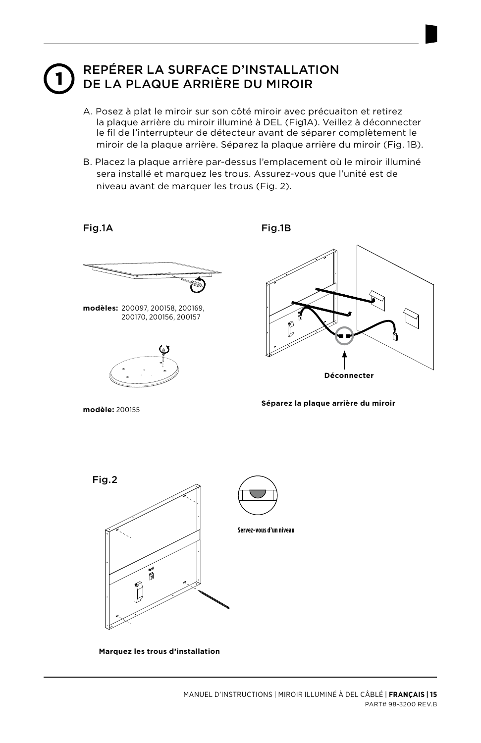#### 1 REPÉRER LA SURFACE D'INSTALLATION DE LA PLAQUE ARRIÈRE DU MIROIR

- A. Posez à plat le miroir sur son côté miroir avec précuaiton et retirez la plaque arrière du miroir illuminé à DEL (Fig1A). Veillez à déconnecter le fil de l'interrupteur de détecteur avant de séparer complètement le miroir de la plaque arrière. Séparez la plaque arrière du miroir (Fig. 1B).
- B. Placez la plaque arrière par-dessus l'emplacement où le miroir illuminé sera installé et marquez les trous. Assurez-vous que l'unité est de niveau avant de marquer les trous (Fig. 2).

Fig.1A

Fig.1B



**modèles:** 200097, 200158, 200169, 200170, 200156, 200157



**Déconnecter**

**modèle:** 200155

**Séparez la plaque arrière du miroir**



**Marquez les trous d'installation**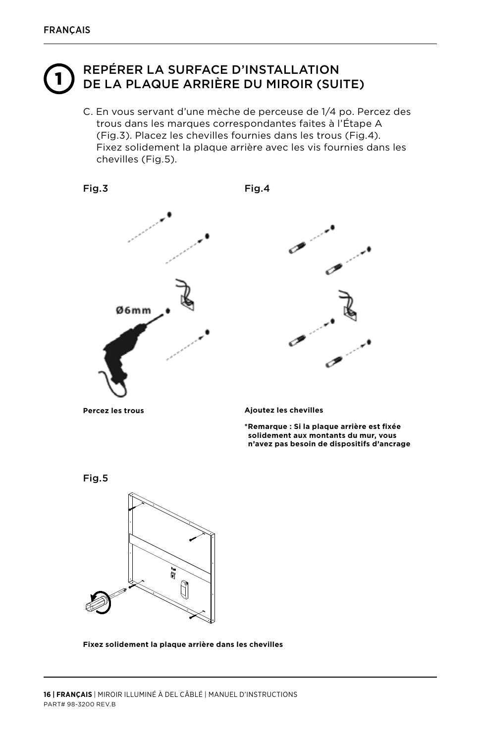# REPÉRER LA SURFACE D'INSTALLATION<br>DE LA PLAQUE ARRIÈRE DU MIROIR (SUITE)

C. En vous servant d'une mèche de perceuse de 1/4 po. Percez des trous dans les marques correspondantes faites à l'Étape A (Fig.3). Placez les chevilles fournies dans les trous (Fig.4). Fixez solidement la plaque arrière avec les vis fournies dans les chevilles (Fig.5).







**\*Remarque : Si la plaque arrière est fixée solidement aux montants du mur, vous n'avez pas besoin de dispositifs d'ancrage**



**Fixez solidement la plaque arrière dans les chevilles**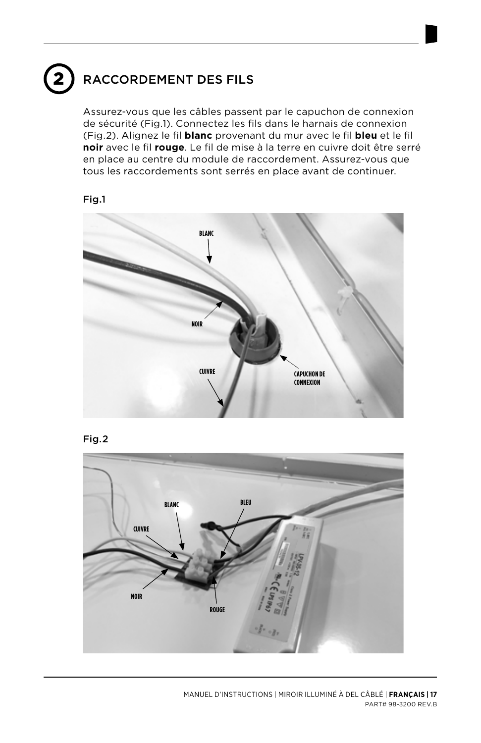# RACCORDEMENT DES FILS

Assurez-vous que les câbles passent par le capuchon de connexion de sécurité (Fig.1). Connectez les fils dans le harnais de connexion (Fig.2). Alignez le fil **blanc** provenant du mur avec le fil **bleu** et le fil **noir** avec le fil **rouge**. Le fil de mise à la terre en cuivre doit être serré en place au centre du module de raccordement. Assurez-vous que tous les raccordements sont serrés en place avant de continuer.







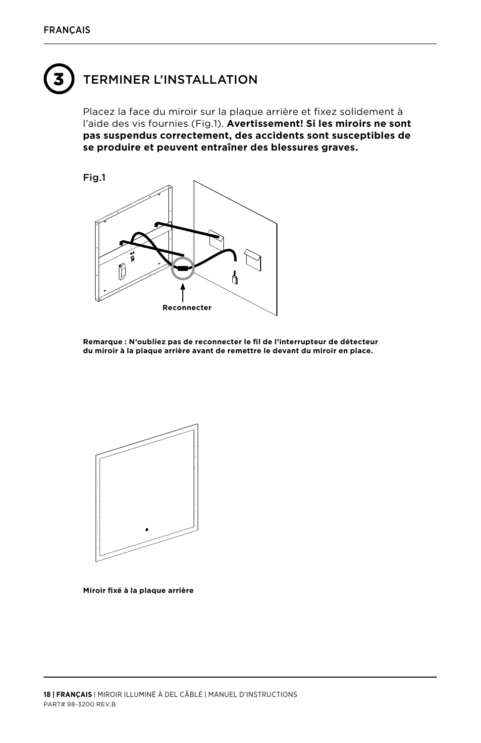# **TERMINER L'INSTALLATION**

Placez la face du miroir sur la plaque arrière et fixez solidement à l'aide des vis fournies (Fig.1). **Avertissement! Si les miroirs ne sont pas suspendus correctement, des accidents sont susceptibles de se produire et peuvent entraîner des blessures graves.**



**Remarque : N'oubliez pas de reconnecter le fil de l'interrupteur de détecteur du miroir à la plaque arrière avant de remettre le devant du miroir en place.**



```
Miroir fixé à la plaque arrière
```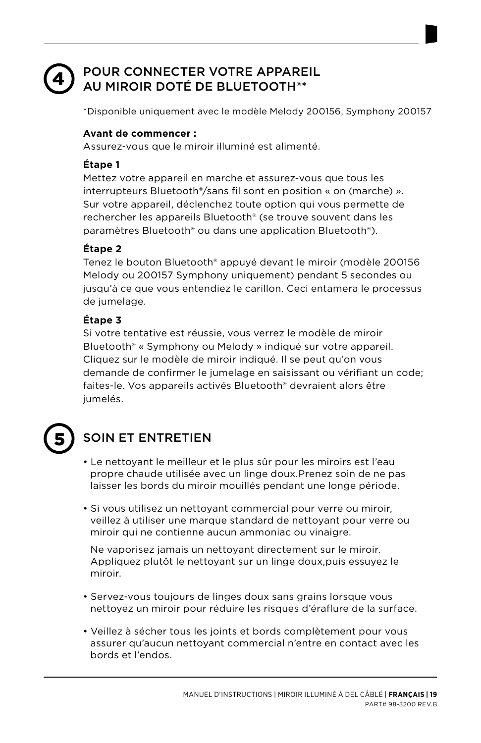#### POUR CONNECTER VOTRE APPAREIL AU MIROIR DOTÉ DE BLUETOOTH®\* 4

\*Disponible uniquement avec le modèle Melody 200156, Symphony 200157

### **Avant de commencer :**

Assurez-vous que le miroir illuminé est alimenté.

### **Étape 1**

Mettez votre appareil en marche et assurez-vous que tous les interrupteurs Bluetooth®/sans fil sont en position « on (marche) ». Sur votre appareil, déclenchez toute option qui vous permette de rechercher les appareils Bluetooth® (se trouve souvent dans les paramètres Bluetooth® ou dans une application Bluetooth®).

### **Étape 2**

Tenez le bouton Bluetooth® appuyé devant le miroir (modèle 200156 Melody ou 200157 Symphony uniquement) pendant 5 secondes ou jusqu'à ce que vous entendiez le carillon. Ceci entamera le processus de jumelage.

### **Étape 3**

Si votre tentative est réussie, vous verrez le modèle de miroir Bluetooth® « Symphony ou Melody » indiqué sur votre appareil. Cliquez sur le modèle de miroir indiqué. Il se peut qu'on vous demande de confirmer le jumelage en saisissant ou vérifiant un code; faites-le. Vos appareils activés Bluetooth® devraient alors être jumelés.

# 5

# SOIN ET ENTRETIEN

- Le nettoyant le meilleur et le plus sûr pour les miroirs est l'eau propre chaude utilisée avec un linge doux.Prenez soin de ne pas laisser les bords du miroir mouillés pendant une longe période.
- Si vous utilisez un nettoyant commercial pour verre ou miroir, veillez à utiliser une marque standard de nettoyant pour verre ou miroir qui ne contienne aucun ammoniac ou vinaigre.

Ne vaporisez jamais un nettoyant directement sur le miroir. Appliquez plutôt le nettoyant sur un linge doux,puis essuyez le miroir.

- Servez-vous toujours de linges doux sans grains lorsque vous nettoyez un miroir pour réduire les risques d'éraflure de la surface.
- Veillez à sécher tous les joints et bords complètement pour vous assurer qu'aucun nettoyant commercial n'entre en contact avec les bords et l'endos.